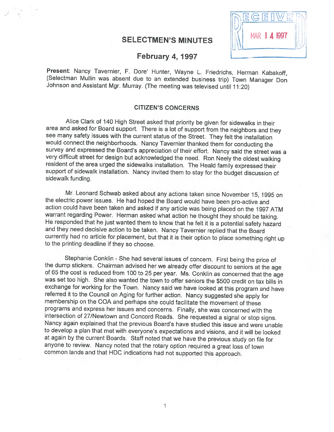## SELECTMEN'S MINUTES



# February 4, 1997

Present: Nancy Tavernier, F. Dore' Hunter, Wayne L. Friedrichs, Herman Kabakoff, (Selectman Mullin was absent due to an extended business trip) Town Manager Don Johnson and Assistant Mgr. Murray. (The meeting was televised

#### CITIZEN'S CONCERNS

Alice Clark of <sup>140</sup> High Street asked that priority be <sup>g</sup>iven for sidewalks in theit area and asked for Board support. There is a lot of support from the neighbors and they see many safety issues with the current status of the Street. They felt the installation would connect the neighborhoods. Nancy Tavernier thanked them for conducting the survey and expressed the Board's appreciation of their effort. Nancy said the street was a very difficult street for design but acknowledged the need. Ron Neely the oldest walking resident of the area urged the sidewalks installation. The Heald family expressed their support of sidewalk installation. Nancy invited them to stay for the budget discussion of sidewalk funding.

Mr. Leonard Schwab asked about any actions taken since November 15, 1995 on<br>the electric power issues. He had hoped the Board would have been pro-active and<br>action could have been taken and asked if any article was being p He responded that he just wanted them to know that he felt it is a potential safety hazard and they need decisive action to be taken. Nancy Tavernier replied that the Board currently had no article for <sup>p</sup>lacement, but that it is their option to <sup>p</sup>lace something right up to the printing deadline if they so choose.

Stephanie Conklin - She had several issues of concern. First being the price of the dump stickers. Chairman advised her we already offer discount to seniors at the age of 65 the cost is reduced from 100 to 25 per year. Ms. was set too high. She also wanted the town to offer seniors the \$500 credit on tax bills in exchange for working for the Town. Nancy said we have looked at this program and have referred it to the Council on Aging for further action. Nancy suggested she apply for membership on the COA and perhaps she could facilitate the movement of these programs and express her issues and concerns. Finally, she was concerned with the Nancy again explained that the previous Board's have studied this issue and were unable to develop <sup>a</sup> <sup>p</sup>lan that met with everyone's expectations and visions, and it will be looked at again by the current Boards. Staff noted that we have the previous study on file for anyone to review. Nancy noted that the rotary option required <sup>a</sup> great loss of town common lands and that HDC indications had not supported this approach.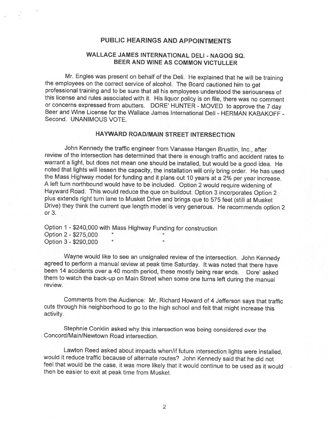## PUBLIC HEARINGS AND APPOINTMENTS

## WALLACE JAMES INTERNATIONAL DELI - NAGOG SQ. BEER AND WINE AS COMMON VICTULLER

Mr. Engles was present on behalf of the Deli. He explained that he will be training the employees on the correct service of alcohol. The Board cautioned him to get professional training and to be sure that all his employees understood the seriousness of this license and rules associated with it. His liquor policy is on file, there was no comment or concerns expressed from abutters. DORE' HUNTER - MOVED to approve the 7 day Beer and Wine License for the Wallace James International Deli - HERMAN KABAKOFF -Second. UNANIMOUS VOTE.

## HAYWARD ROAD/MAIN STREET INTERSECTION

John Kennedy the traffic engineer from Vanasse Hangen Brustlin, Inc., after review of the intersection has determined that there is enough traffic and accident rates to warrant a light, but does not mean one should be installed, but would be a good idea. He noted that lights will lessen the capacity, the installation will only bring order. He has used<br>the Mass Highway model for funding and it plans out 10 years at a 2% per year increase.<br>A left turn northbound would have to b <sup>p</sup>lus extends right turn lane to Musket Drive and brings que to <sup>575</sup> feet (still at Musket Drive) they think the current que length model is very generous. He recommends option <sup>2</sup> or 3.

Option <sup>1</sup> -\$240,000 with Mass Highway Funding for construction Option 2 -\$275,000 Option 3 - \$290,000

Wayne would like to see an unsignaled review of the intersection. John Kennedy agreed to perform a manual review at peak time Saturday. It was noted that there have been <sup>14</sup> accidents over <sup>a</sup> <sup>40</sup> month period, these mostly being rear ends. Dote' asked them to watch the back-up on Main Street when some one turns left during the manual review.

Comments from the Audience: Mr. Richard Howard of <sup>4</sup> Jefferson says that traffic cuts through his neighborhood to go to the high school and felt that might increase this activity.

Stephnie Conklin asked why this intersection was being considered over the Concord/Main/Newtown Road intersection.

Lawton Reed asked about impacts when/if future intersection lights were installed, feel that would be the case, it was more likely that it would continue to be used as it would then be easier to exit at peak time from Musket.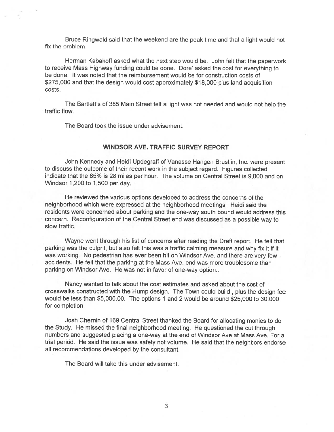Bruce Ringwald said that the weekend are the peak time and that <sup>a</sup> light would not fix the problem.

Herman Kabakoff asked what the next step would be. John felt that the paperwork to receive Mass Highway funding could be done. Dore' asked the cost for everything to be done. It was noted that the reimbursement would be for construction costs of \$275,000 and that the design would cost approximately \$18,000 <sup>p</sup>lus land acquisition costs.

The Bartlett's of <sup>385</sup> Main Street felt <sup>a</sup> light was not needed and would not help the traffic flow.

The Board took the issue under advisement.

#### WINDSOR AVE. TRAFFIC SURVEY REPORT

John Kennedy and Heidi Updegraff of Vanasse Hangen Brustlin, Inc. were presen<sup>t</sup> to discuss the outcome of their recent work in the subject regard. Figures collected indicate that the 85% is 28 miles per hour. The volume on Central Street is 9,000 and on Windsor 1,200 to 1,500 per day.

He reviewed the various options developed to address the concerns of the neighborhood which were expressed at the neighborhood meetings. Heidi said the residents were concerned about parking and the one-way south bound would address this concern. Reconfiguration of the Central Street end was discussed as <sup>a</sup> possible way to slow traffic.

Wayne went through his list of concerns after reading the Draft report. He felt that parking was the culprit, but also felt this was <sup>a</sup> traffic calming measure and why fix it if it was working. No pedestrian has ever been hit on Windsor Ave. and there are very few accidents. He felt that the parking at the Mass Ave. end was more troublesome than parking on Windsor Ave. He was not in favor of one-way option..

Nancy wanted to talk about the cost estimates and asked about the cost of crosswalks constructed with the Hump design. The Town could build, <sup>p</sup>lus the design fee would be less than \$5,000.00. The options 1 and 2 would be around \$25,000 to 30,000 for completion.

Josh Chernin of 169 Central Street thanked the Board for allocating monies to do the Study. He missed the final neighborhood meeting. He questioned the cut through numbers and suggested placing <sup>a</sup> one-way at the end of Windsor Ave at Mass Ave. For <sup>a</sup> trial period. He said the issue was safety not volume. He said that the neighbors endorse all recommendations developed by the consultant.

The Board will take this under advisement.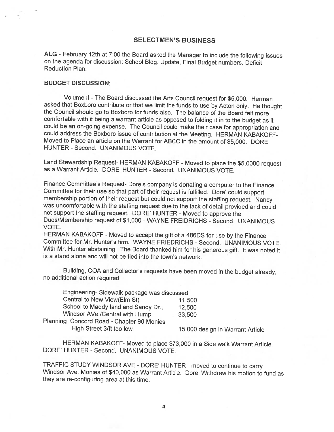### SELECTMEN'S BUSINESS

ALG -February 12th at 7:00 the Board asked the Manager to include the following issues on the agenda for discussion: School Bldg. Update, Final Budget numbers, Deficit Reduction Plan.

#### BUDGET DISCUSSION:

Volume II -The Board discussed the Arts Council request for \$5,000. Herman asked that Boxboro contribute or that we limit the funds to use by Acton only. He thought the Council should go to Boxboro for funds also. The balance of the Board felt more comfortable with it being <sup>a</sup> warrant article as opposed to folding it in to the budget as it could be an on-going expense. The Council could make their case for appropriation and could address the Boxboro issue of contribution at the Meeting. HERMAN KABAKOFF Moved to Place an article on the Warrant for ABCC in the amount of \$5,000. DORE' HUNTER -Second. UNANIMOUS VOTE.

Land Stewardship Request- HERMAN KABAKOFF - Moved to place the \$5,0000 request as <sup>a</sup> Warrant Article. DORE' HUNTER - Second. UNANIMOUS VOTE.

Finance Committee's Request- Dore's company is donating a computer to the Finance Committee for their use so that part of their request is fulfilled. Dore' could support membership portion of their request but could not support the staffing request. Nancy was uncomfortable with the staffing request due to the lack of detail provided and could not support the staffing request. DORE' HUNTER - Moved to approve the Dues/Membership request of \$1,000 -WAYNE FREIDRICHS - Second. UNANIMOUS VOTE.

HERMAN KABAKOFF - Moved to accept the <sup>g</sup>ift of <sup>a</sup> 486DS for use by the Finance Committee for Mr. Hunter's firm. WAYNE FRIEDRICHS - Second. UNANIMOUS VOTE. With Mr. Hunter abstaining. The Board thanked him for his generous <sup>g</sup>ift. It was noted it is <sup>a</sup> stand alone and will not be tied into the town's network.

Building, COA and Collector's requests have been moved in the budget already, no additional action required.

| Engineering-Sidewalk package was discussed |                                  |
|--------------------------------------------|----------------------------------|
| Central to New View(Elm St)                | 11,500                           |
| School to Maddy land and Sandy Dr.,        | 12,500                           |
| Windsor AVe./Central with Hump             | 33,500                           |
| Planning Concord Road - Chapter 90 Monies  |                                  |
| High Street 3/ft too low                   | 15,000 design in Warrant Article |
|                                            |                                  |

HERMAN KABAKOFF- Moved to <sup>p</sup>lace \$73,000 in <sup>a</sup> Side walk Warrant Article. DORE' HUNTER - Second. UNANIMOUS VOTE.

TRAFFIC STUDY WINDSOR AVE - DORE' HUNTER - moved to continue to carry Windsor Ave. Monies of \$40,000 as Warrant Article. Dore' Withdrew his motion to fund as they are re-configuring area at this time.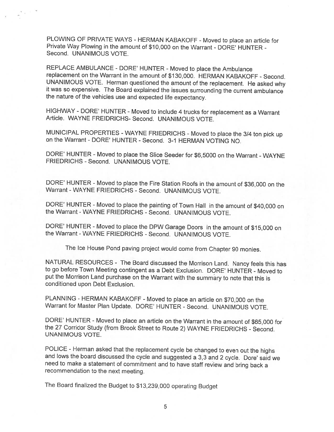PLOWING OF PRIVATE WAYS - HERMAN KABAKOFF - Moved to place an article for Private Way Plowing in the amount of \$10,000 on the Warrant - DORE' HUNTER Second. UNANIMOUS VOTE

REPLACE AMBULANCE - DORE' HUNTER - Moved to place the Ambulance replacement on the Warrant in the amount of \$130,000. HERMAN KABAKOFF - Second.<br>UNANIMOUS VOTE. Herman questioned the amount of the replacement. He asked why it was so expensive. The Board explained the issues surrounding the current ambulance the nature of the vehicles use and expected life expectancy.

HIGHWAY - DORE' HUNTER - Moved to include 4 trucks for replacement as a Warrant Article. WAYNE FREIDRICHS- Second. UNANIMOUS VOTE.

MUNICIPAL PROPERTIES - WAYNE FRIEDRICHS - Moved to place the 3/4 ton pick up on the Warrant - DORE' HUNTER - Second. 3-1 HERMAN VOTING NO.

DORE' HUNTER - Moved to <sup>p</sup>lace the Slice Seeder for \$6,5000 on the Warrant -WAYNE FRIEDRICHS - Second. UNANIMOUS VOTE.

DORE' HUNTER - Moved to place the Fire Station Roofs in the amount of \$36,000 on the Warrant - WAYNE FRIEDRICHS - Second. UNANIMOUS VOTE.

DORE' HUNTER - Moved to <sup>p</sup>lace the painting of Town Hall in the amount of \$40,000 on the Warrant - WAYNE FRIEDRICHS - Second. UNANIMOUS VOTE.

DORE' HUNTER - Moved to place the DPW Garage Doors in the amount of \$15,000 on the Warrant - WAYNE FRIEDRICHS - Second. UNANIMOUS VOTE.

The Ice House Pond paving project would come from Chapter <sup>90</sup> monies.

NATURAL RESOURCES - The Board discussed the Morrison Land. Nancy feels this has to go before Town Meeting contingent as <sup>a</sup> Debt Exclusion. DORE' HUNTER - Moved to put the Morrison Land purchase on the Warrant with the summary to note that this is conditioned upon Debt Exclusion.

PLANNING - HERMAN KABAKOFF - Moved to <sup>p</sup>lace an article on \$70,000 on the Warrant for Master Plan Update. DORE' HUNTER - Second. UNANIMOUS VOTE.

DORE' HUNTER - Moved to <sup>p</sup>lace an article on the Warrant in the amount of \$65,000 for the <sup>27</sup> Corridor Study (from Brook Street to Route 2) WAYNE FRIEDRICHS - Second. UNANIMOUS VOTE.

POLICE - Herman asked that the replacement cycle be changed to even out the highs and lows the board discussed the cycle and suggested <sup>a</sup> 3,3 and <sup>2</sup> cycle. Dote' said we need to make <sup>a</sup> statement of commitment and to have staff review and bring back <sup>a</sup> recommendation to the next meeting.

The Board finalized the Budget to \$13,239,000 operating Budget